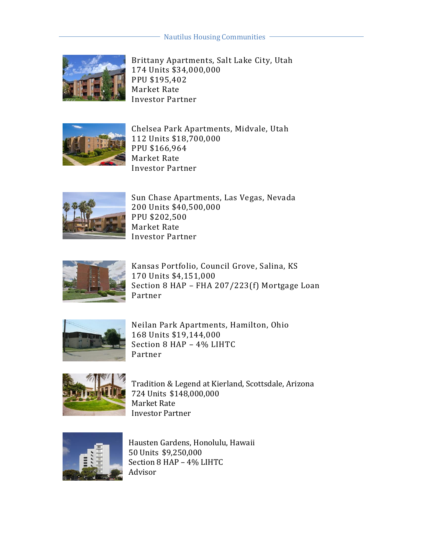## Nautilus Housing Communities



Brittany Apartments, Salt Lake City, Utah 174 Units \$34,000,000 PPU \$195,402 Market Rate Investor Partner



Chelsea Park Apartments, Midvale, Utah 112 Units \$18,700,000 PPU \$166,964 Market Rate Investor Partner



Sun Chase Apartments, Las Vegas, Nevada 200 Units \$40,500,000 PPU \$202,500 Market Rate Investor Partner



Kansas Portfolio, Council Grove, Salina, KS 170 Units \$4,151,000 Section 8 HAP – FHA 207/223(f) Mortgage Loan Partner



Neilan Park Apartments, Hamilton, Ohio 168 Units \$19,144,000 Section 8 HAP – 4% LIHTC Partner



Tradition & Legend at Kierland, Scottsdale, Arizona 724 Units \$148,000,000 Market Rate Investor Partner



Hausten Gardens, Honolulu, Hawaii 50 Units \$9,250,000 Section 8 HAP – 4% LIHTC Advisor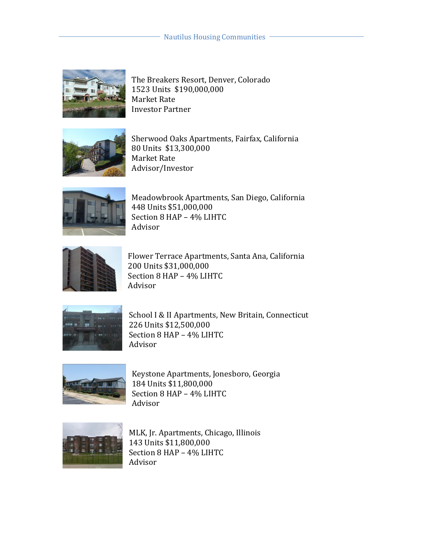

The Breakers Resort, Denver, Colorado 1523 Units \$190,000,000 Market Rate Investor Partner



Sherwood Oaks Apartments, Fairfax, California 80 Units \$13,300,000 Market Rate Advisor/Investor



Meadowbrook Apartments, San Diego, California 448 Units \$51,000,000 Section 8 HAP – 4% LIHTC Advisor



Flower Terrace Apartments, Santa Ana, California 200 Units \$31,000,000 Section 8 HAP – 4% LIHTC Advisor



School I & II Apartments, New Britain, Connecticut 226 Units \$12,500,000 Section 8 HAP – 4% LIHTC Advisor



Keystone Apartments, Jonesboro, Georgia 184 Units \$11,800,000 Section 8 HAP – 4% LIHTC Advisor



MLK, Jr. Apartments, Chicago, Illinois 143 Units \$11,800,000 Section 8 HAP – 4% LIHTC Advisor